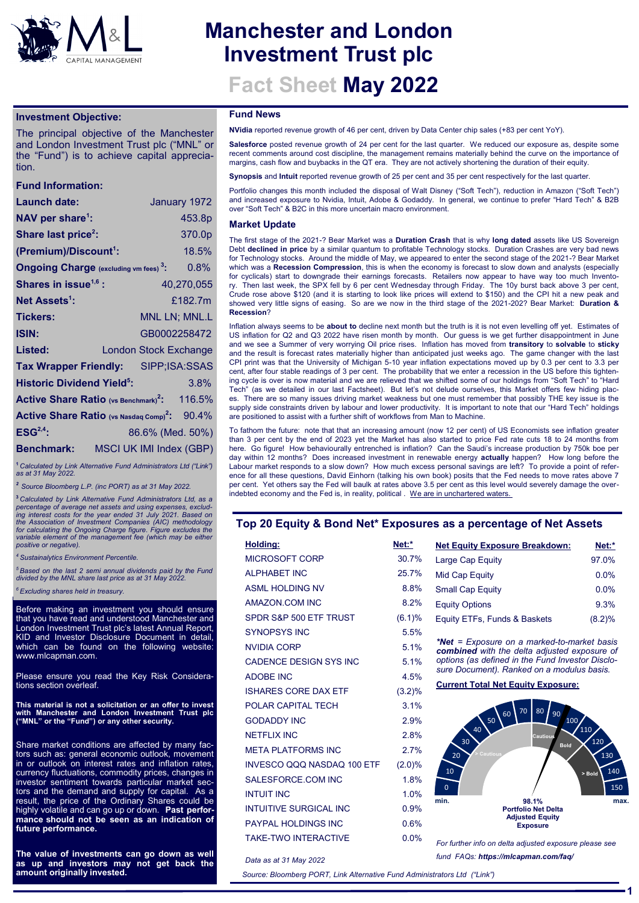

# **Manchester and London Investment Trust plc**

**Fact Sheet May 2022**

## **Investment Objective:**

The principal objective of the Manchester and London Investment Trust plc ("MNL" or the "Fund") is to achieve capital appreciation.

# **Fund Information:**

| Launch date:                                                     |  |                         | January 1972  |  |
|------------------------------------------------------------------|--|-------------------------|---------------|--|
| NAV per share <sup>1</sup> :                                     |  |                         | 453.8p        |  |
| Share last price <sup>2</sup> :                                  |  |                         | 370.0p        |  |
| (Premium)/Discount <sup>1</sup> :                                |  |                         | 18.5%         |  |
| <b>Ongoing Charge</b> (excluding vm fees) <sup>3</sup> :         |  |                         | 0.8%          |  |
| Shares in issue <sup>1,6</sup> :                                 |  |                         | 40,270,055    |  |
| Net Assets <sup>1</sup> :                                        |  |                         | £182.7m       |  |
| <b>Tickers:</b>                                                  |  |                         | MNL LN; MNL.L |  |
| <b>ISIN:</b>                                                     |  | GB0002258472            |               |  |
| Listed:                                                          |  | London Stock Exchange   |               |  |
| <b>Tax Wrapper Friendly:</b>                                     |  | SIPP;ISA:SSAS           |               |  |
| <b>Historic Dividend Yield<sup>5</sup>:</b>                      |  |                         | 3.8%          |  |
| <b>Active Share Ratio (vs Benchmark)<sup>2</sup>:</b>            |  |                         | 116.5%        |  |
| <b>Active Share Ratio (vs Nasdaq Comp)<sup>2</sup>:</b><br>90.4% |  |                         |               |  |
| ESG <sup>2,4</sup>                                               |  | 86.6% (Med. 50%)        |               |  |
| <b>Benchmark:</b>                                                |  | MSCI UK IMI Index (GBP) |               |  |
|                                                                  |  |                         |               |  |

**<sup>1</sup>***Calculated by Link Alternative Fund Administrators Ltd ("Link") as at 31 May 2022.* 

*<sup>2</sup>Source Bloomberg L.P. (inc PORT) as at 31 May 2022.*

**<sup>3</sup>***Calculated by Link Alternative Fund Administrators Ltd, as a percentage of average net assets and using expenses, exclud-ing interest costs for the year ended 31 July 2021. Based on the Association of Investment Companies (AIC) methodology for calculating the Ongoing Charge figure. Figure excludes the variable element of the management fee (which may be either positive or negative).* 

*<sup>4</sup>Sustainalytics Environment Percentile.* 

*<sup>5</sup>Based on the last 2 semi annual dividends paid by the Fund divided by the MNL share last price as at 31 May 2022.*

*<sup>6</sup>Excluding shares held in treasury.* 

Before making an investment you should ensure that you have read and understood Manchester and London Investment Trust plc's latest Annual Report, KID and Investor Disclosure Document in detail, which can be found on the following website: www.mlcapman.com.

Please ensure you read the Key Risk Considerations section overleaf.

**This material is not a solicitation or an offer to invest with Manchester and London Investment Trust plc ("MNL" or the "Fund") or any other security.**

Share market conditions are affected by many factors such as: general economic outlook, movement in or outlook on interest rates and inflation rates, currency fluctuations, commodity prices, changes in investor sentiment towards particular market sectors and the demand and supply for capital. As a result, the price of the Ordinary Shares could be highly volatile and can go up or down. **Past performance should not be seen as an indication of future performance.** 

**The value of investments can go down as well as up and investors may not get back the amount originally invested.**

#### **Fund News**

**NVidia** reported revenue growth of 46 per cent, driven by Data Center chip sales (+83 per cent YoY).

Salesforce posted revenue growth of 24 per cent for the last quarter. We reduced our exposure as, despite some recent comments around cost discipline, the management remains materially behind the curve on the importance of margins, cash flow and buybacks in the QT era. They are not actively shortening the duration of their equity.

**Synopsis** and **Intuit** reported revenue growth of 25 per cent and 35 per cent respectively for the last quarter.

Portfolio changes this month included the disposal of Walt Disney ("Soft Tech"), reduction in Amazon ("Soft Tech") and increased exposure to Nvidia, Intuit, Adobe & Godaddy. In general, we continue to prefer "Hard Tech" & B2B over "Soft Tech" & B2C in this more uncertain macro environment.

#### **Market Update**

The first stage of the 2021-? Bear Market was a **Duration Crash** that is why **long dated** assets like US Sovereign Debt **declined in price** by a similar quantum to profitable Technology stocks. Duration Crashes are very bad news for Technology stocks. Around the middle of May, we appeared to enter the second stage of the 2021-? Bear Market which was a **Recession Compression**, this is when the economy is forecast to slow down and analysts (especially for cyclicals) start to downgrade their earnings forecasts. Retailers now appear to have way too much Inventory. Then last week, the SPX fell by 6 per cent Wednesday through Friday. The 10y burst back above 3 per cent, Crude rose above \$120 (and it is starting to look like prices will extend to \$150) and the CPI hit a new peak and showed very little signs of easing. So are we now in the third stage of the 2021-202? Bear Market: **Duration & Recession**?

Inflation always seems to be **about to** decline next month but the truth is it is not even levelling off yet. Estimates of US inflation for Q2 and Q3 2022 have risen month by month. Our guess is we get further disappointment in June and we see a Summer of very worrying Oil price rises. Inflation has moved from **transitory** to **solvable** to **sticky**  and the result is forecast rates materially higher than anticipated just weeks ago. The game changer with the last CPI print was that the University of Michigan 5-10 year inflation expectations moved up by 0.3 per cent to 3.3 per cent, after four stable readings of 3 per cent. The probability that we enter a recession in the US before this tightening cycle is over is now material and we are relieved that we shifted some of our holdings from "Soft Tech" to "Hard Tech" (as we detailed in our last Factsheet). But let's not delude ourselves, this Market offers few hiding places. There are so many issues driving market weakness but one must remember that possibly THE key issue is the supply side constraints driven by labour and lower productivity. It is important to note that our "Hard Tech" holdings are positioned to assist with a further shift of workflows from Man to Machine.

To fathom the future: note that that an increasing amount (now 12 per cent) of US Economists see inflation greater than 3 per cent by the end of 2023 yet the Market has also started to price Fed rate cuts 18 to 24 months from here. Go figure! How behaviourally entrenched is inflation? Can the Saudi's increase production by 750k boe per day within 12 months? Does increased investment in renewable energy **actually** happen? How long before the Labour market responds to a slow down? How much excess personal savings are left? To provide a point of reference for all these questions, David Einhorn (talking his own book) posits that the Fed needs to move rates above 7 per cent. Yet others say the Fed will baulk at rates above 3.5 per cent as this level would severely damage the over-.<br>indebted economy and the Fed is, in reality, political . We are in unchartered waters.

## **Top 20 Equity & Bond Net\* Exposures as a percentage of Net Assets**

| Holding:                      | Net:*     |
|-------------------------------|-----------|
| MICROSOFT CORP                | 30.7%     |
| <b>ALPHABET INC</b>           | 25.7%     |
| <b>ASML HOLDING NV</b>        | 8.8%      |
| AMAZON COM INC                | 8.2%      |
| SPDR S&P 500 ETF TRUST        | (6.1)%    |
| <b>SYNOPSYS INC</b>           | 5.5%      |
| <b>NVIDIA CORP</b>            | 5.1%      |
| <b>CADENCE DESIGN SYS INC</b> | 5.1%      |
| <b>ADOBE INC</b>              | 4.5%      |
| <b>ISHARES CORE DAX ETF</b>   | $(3.2)\%$ |
| POLAR CAPITAL TECH            | 3.1%      |
| <b>GODADDY INC</b>            | 2.9%      |
| <b>NETFLIX INC</b>            | 2.8%      |
| <b>META PLATFORMS INC</b>     | 2.7%      |
| INVESCO QQQ NASDAQ 100 ETF    | (2.0)%    |
| SALESFORCE.COM INC            | 1.8%      |
| <b>INTUIT INC</b>             | 1.0%      |
| <b>INTUITIVE SURGICAL INC</b> | 0.9%      |
| <b>PAYPAL HOLDINGS INC</b>    | 0.6%      |
| <b>TAKE-TWO INTERACTIVE</b>   | 0 0%      |

| e*      | <b>Net Equity Exposure Breakdown:</b> | Net:*  |
|---------|---------------------------------------|--------|
| $1.7\%$ | Large Cap Equity                      | 97.0%  |
| ፣ 7%    | Mid Cap Equity                        | 0.0%   |
| $8.8\%$ | <b>Small Cap Equity</b>               | 0.0%   |
| 32%     | <b>Equity Options</b>                 | 9.3%   |
| .1)%    | Equity ETFs, Funds & Baskets          | (8.2)% |
|         |                                       |        |

*\*Net = Exposure on a marked-to-market basis combined with the delta adjusted exposure of options (as defined in the Fund Investor Disclosure Document). Ranked on a modulus basis.*

**Current Total Net Equity Exposure:** 



*For further info on delta adjusted exposure please see fund FAQs: https://mlcapman.com/faq/*

*Data as at 31 May 2022* 

*Source: Bloomberg PORT, Link Alternative Fund Administrators Ltd ("Link")*